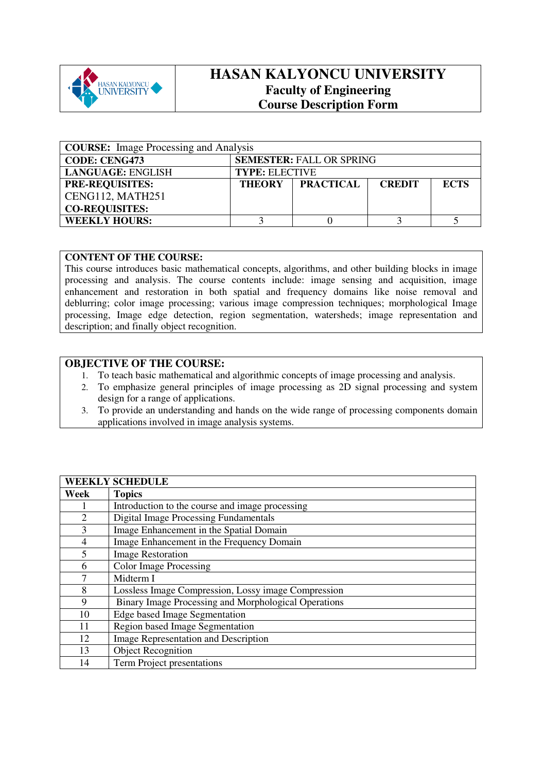

## **HASAN KALYONCU UNIVERSITY Faculty of Engineering Course Description Form**

| <b>COURSE:</b> Image Processing and Analysis |                                 |                  |               |             |
|----------------------------------------------|---------------------------------|------------------|---------------|-------------|
| <b>CODE: CENG473</b>                         | <b>SEMESTER: FALL OR SPRING</b> |                  |               |             |
| <b>LANGUAGE: ENGLISH</b>                     | <b>TYPE: ELECTIVE</b>           |                  |               |             |
| <b>PRE-REQUISITES:</b>                       | <b>THEORY</b>                   | <b>PRACTICAL</b> | <b>CREDIT</b> | <b>ECTS</b> |
| CENG112, MATH251                             |                                 |                  |               |             |
| <b>CO-REQUISITES:</b>                        |                                 |                  |               |             |
| <b>WEEKLY HOURS:</b>                         |                                 |                  |               |             |

#### **CONTENT OF THE COURSE:**

This course introduces basic mathematical concepts, algorithms, and other building blocks in image processing and analysis. The course contents include: image sensing and acquisition, image enhancement and restoration in both spatial and frequency domains like noise removal and deblurring; color image processing; various image compression techniques; morphological Image processing, Image edge detection, region segmentation, watersheds; image representation and description; and finally object recognition.

#### **OBJECTIVE OF THE COURSE:**

- 1. To teach basic mathematical and algorithmic concepts of image processing and analysis.
- 2. To emphasize general principles of image processing as 2D signal processing and system design for a range of applications.
- 3. To provide an understanding and hands on the wide range of processing components domain applications involved in image analysis systems.

| <b>WEEKLY SCHEDULE</b> |                                                      |  |  |
|------------------------|------------------------------------------------------|--|--|
| Week                   | <b>Topics</b>                                        |  |  |
|                        | Introduction to the course and image processing      |  |  |
| $\overline{2}$         | <b>Digital Image Processing Fundamentals</b>         |  |  |
| 3                      | Image Enhancement in the Spatial Domain              |  |  |
| 4                      | Image Enhancement in the Frequency Domain            |  |  |
| 5                      | <b>Image Restoration</b>                             |  |  |
| 6                      | <b>Color Image Processing</b>                        |  |  |
| 7                      | Midterm I                                            |  |  |
| 8                      | Lossless Image Compression, Lossy image Compression  |  |  |
| 9                      | Binary Image Processing and Morphological Operations |  |  |
| 10                     | <b>Edge based Image Segmentation</b>                 |  |  |
| 11                     | Region based Image Segmentation                      |  |  |
| 12                     | Image Representation and Description                 |  |  |
| 13                     | <b>Object Recognition</b>                            |  |  |
| 14                     | Term Project presentations                           |  |  |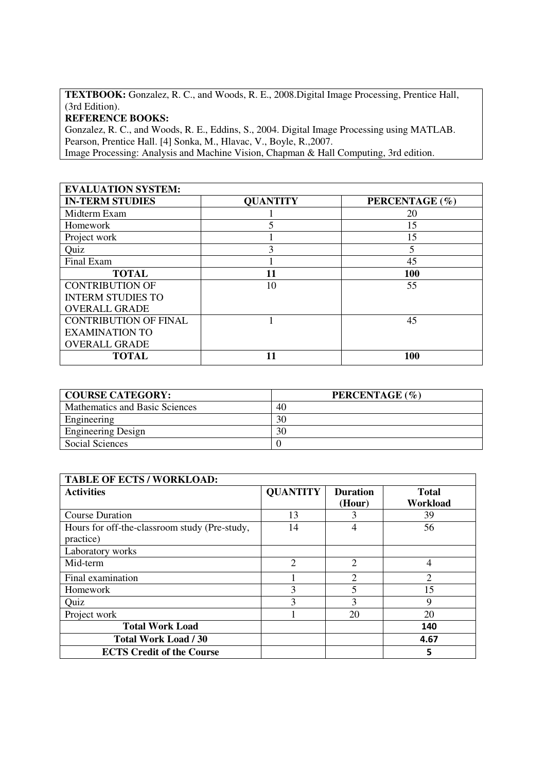**TEXTBOOK:** Gonzalez, R. C., and Woods, R. E., 2008.Digital Image Processing, Prentice Hall, (3rd Edition).

### **REFERENCE BOOKS:**

Gonzalez, R. C., and Woods, R. E., Eddins, S., 2004. Digital Image Processing using MATLAB. Pearson, Prentice Hall. [4] Sonka, M., Hlavac, V., Boyle, R.,2007. Image Processing: Analysis and Machine Vision, Chapman & Hall Computing, 3rd edition.

# **EVALUATION SYSTEM:**

| <b>IN-TERM STUDIES</b>       | <b>QUANTITY</b> | PERCENTAGE (%) |
|------------------------------|-----------------|----------------|
| Midterm Exam                 |                 | 20             |
| Homework                     |                 | 15             |
| Project work                 |                 | 15             |
| Quiz                         | 3               | 5              |
| Final Exam                   |                 | 45             |
| <b>TOTAL</b>                 | 11              | 100            |
| <b>CONTRIBUTION OF</b>       | 10              | 55             |
| <b>INTERM STUDIES TO</b>     |                 |                |
| <b>OVERALL GRADE</b>         |                 |                |
| <b>CONTRIBUTION OF FINAL</b> |                 | 45             |
| <b>EXAMINATION TO</b>        |                 |                |
| <b>OVERALL GRADE</b>         |                 |                |
| TOTAL                        | 11              | 100            |

| <b>COURSE CATEGORY:</b>        | PERCENTAGE (%) |
|--------------------------------|----------------|
| Mathematics and Basic Sciences | 40             |
| Engineering                    | 30             |
| <b>Engineering Design</b>      | 30             |
| Social Sciences                |                |

| <b>TABLE OF ECTS / WORKLOAD:</b>              |                 |                 |                |
|-----------------------------------------------|-----------------|-----------------|----------------|
| <b>Activities</b>                             | <b>QUANTITY</b> | <b>Duration</b> | <b>Total</b>   |
|                                               |                 | (Hour)          | Workload       |
| <b>Course Duration</b>                        | 13              |                 | 39             |
| Hours for off-the-classroom study (Pre-study, | 14              | 4               | 56             |
| practice)                                     |                 |                 |                |
| Laboratory works                              |                 |                 |                |
| Mid-term                                      | $\overline{2}$  | $\overline{2}$  | 4              |
| Final examination                             |                 | $\overline{2}$  | $\overline{2}$ |
| Homework                                      | 3               |                 | 15             |
| Quiz                                          | 3               | 3               | 9              |
| Project work                                  |                 | 20              | 20             |
| <b>Total Work Load</b>                        |                 |                 | 140            |
| <b>Total Work Load / 30</b>                   |                 |                 | 4.67           |
| <b>ECTS Credit of the Course</b>              |                 |                 | 5              |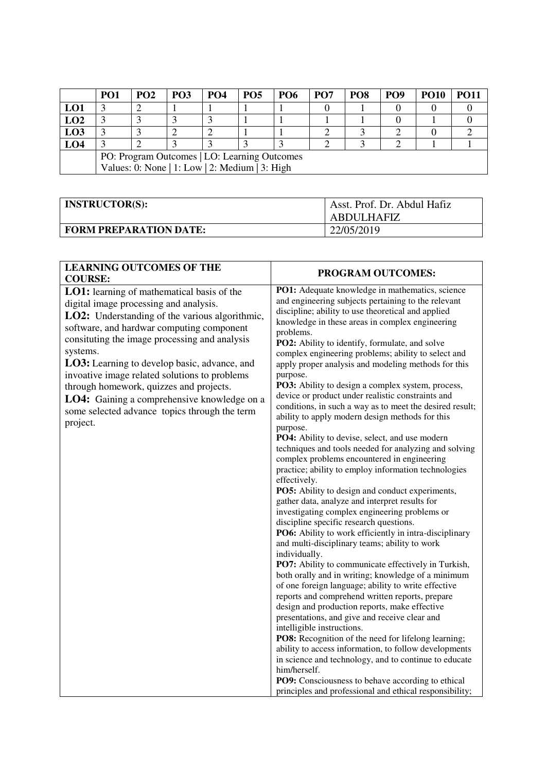|                 | PO <sub>1</sub>                                | <b>PO2</b> | <b>PO3</b> | <b>PO4</b> | PO <sub>5</sub> | <b>PO6</b> | PO <sub>7</sub> | PO <sub>8</sub> | PO <sub>9</sub> | <b>PO10</b> | <b>PO11</b> |
|-----------------|------------------------------------------------|------------|------------|------------|-----------------|------------|-----------------|-----------------|-----------------|-------------|-------------|
| LO1             |                                                |            |            |            |                 |            |                 |                 |                 |             |             |
| LO2             |                                                |            |            |            |                 |            |                 |                 |                 |             |             |
| LO <sub>3</sub> |                                                |            |            |            |                 |            |                 |                 |                 |             |             |
| LO <sub>4</sub> |                                                |            |            |            |                 |            |                 |                 |                 |             |             |
|                 | PO: Program Outcomes   LO: Learning Outcomes   |            |            |            |                 |            |                 |                 |                 |             |             |
|                 | Values: 0: None   1: Low   2: Medium   3: High |            |            |            |                 |            |                 |                 |                 |             |             |

| <b>INSTRUCTOR(S):</b>         | Asst. Prof. Dr. Abdul Hafiz<br><b>ABDULHAFIZ</b> |
|-------------------------------|--------------------------------------------------|
| <b>FORM PREPARATION DATE:</b> | 22/05/2019                                       |

| PROGRAM OUTCOMES:                                                                                                                                                                                                                                                                                                                                                                                                                                                                                                                                                                                                                                                                                                                                                                                                                                                                                                                                                                                                                                                                                                                                                                                                                                                                                                                                                                                                                                                                                                                                                                                                                                                                                                                                                                                                 |
|-------------------------------------------------------------------------------------------------------------------------------------------------------------------------------------------------------------------------------------------------------------------------------------------------------------------------------------------------------------------------------------------------------------------------------------------------------------------------------------------------------------------------------------------------------------------------------------------------------------------------------------------------------------------------------------------------------------------------------------------------------------------------------------------------------------------------------------------------------------------------------------------------------------------------------------------------------------------------------------------------------------------------------------------------------------------------------------------------------------------------------------------------------------------------------------------------------------------------------------------------------------------------------------------------------------------------------------------------------------------------------------------------------------------------------------------------------------------------------------------------------------------------------------------------------------------------------------------------------------------------------------------------------------------------------------------------------------------------------------------------------------------------------------------------------------------|
| PO1: Adequate knowledge in mathematics, science<br>and engineering subjects pertaining to the relevant<br>discipline; ability to use theoretical and applied<br>knowledge in these areas in complex engineering<br>problems.<br>PO2: Ability to identify, formulate, and solve<br>complex engineering problems; ability to select and<br>apply proper analysis and modeling methods for this<br>purpose.<br>PO3: Ability to design a complex system, process,<br>device or product under realistic constraints and<br>conditions, in such a way as to meet the desired result;<br>ability to apply modern design methods for this<br>purpose.<br>PO4: Ability to devise, select, and use modern<br>techniques and tools needed for analyzing and solving<br>complex problems encountered in engineering<br>practice; ability to employ information technologies<br>effectively.<br>PO5: Ability to design and conduct experiments,<br>gather data, analyze and interpret results for<br>investigating complex engineering problems or<br>discipline specific research questions.<br>PO6: Ability to work efficiently in intra-disciplinary<br>and multi-disciplinary teams; ability to work<br>individually.<br>PO7: Ability to communicate effectively in Turkish,<br>both orally and in writing; knowledge of a minimum<br>of one foreign language; ability to write effective<br>reports and comprehend written reports, prepare<br>design and production reports, make effective<br>presentations, and give and receive clear and<br>intelligible instructions.<br>PO8: Recognition of the need for lifelong learning;<br>ability to access information, to follow developments<br>in science and technology, and to continue to educate<br>him/herself.<br>PO9: Consciousness to behave according to ethical |
|                                                                                                                                                                                                                                                                                                                                                                                                                                                                                                                                                                                                                                                                                                                                                                                                                                                                                                                                                                                                                                                                                                                                                                                                                                                                                                                                                                                                                                                                                                                                                                                                                                                                                                                                                                                                                   |